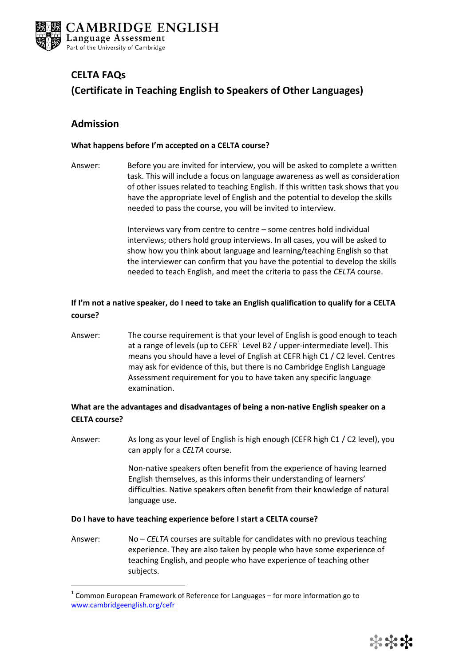

# **CELTA FAQs (Certificate in Teaching English to Speakers of Other Languages)**

# **Admission**

<u>.</u>

### **What happens before I'm accepted on a CELTA course?**

Answer: Before you are invited for interview, you will be asked to complete a written task. This will include a focus on language awareness as well as consideration of other issues related to teaching English. If this written task shows that you have the appropriate level of English and the potential to develop the skills needed to pass the course, you will be invited to interview.

> Interviews vary from centre to centre – some centres hold individual interviews; others hold group interviews. In all cases, you will be asked to show how you think about language and learning/teaching English so that the interviewer can confirm that you have the potential to develop the skills needed to teach English, and meet the criteria to pass the *CELTA* course.

## **If I'm not a native speaker, do I need to take an English qualification to qualify for a CELTA course?**

Answer: The course requirement is that your level of English is good enough to teach at a range of levels (up to CEFR<sup>1</sup> Level B2 / upper-intermediate level). This means you should have a level of English at CEFR high C1 / C2 level. Centres may ask for evidence of this, but there is no Cambridge English Language Assessment requirement for you to have taken any specific language examination.

### **What are the advantages and disadvantages of being a non-native English speaker on a CELTA course?**

Answer: As long as your level of English is high enough (CEFR high C1 / C2 level), you can apply for a *CELTA* course.

> Non-native speakers often benefit from the experience of having learned English themselves, as this informs their understanding of learners' difficulties. Native speakers often benefit from their knowledge of natural language use.

### **Do I have to have teaching experience before I start a CELTA course?**

Answer: No – *CELTA* courses are suitable for candidates with no previous teaching experience. They are also taken by people who have some experience of teaching English, and people who have experience of teaching other subjects.

 $1$  Common European Framework of Reference for Languages – for more information go to [www.cambridgeenglish.org/cefr](http://www.cambridgeenglish.org/cefr)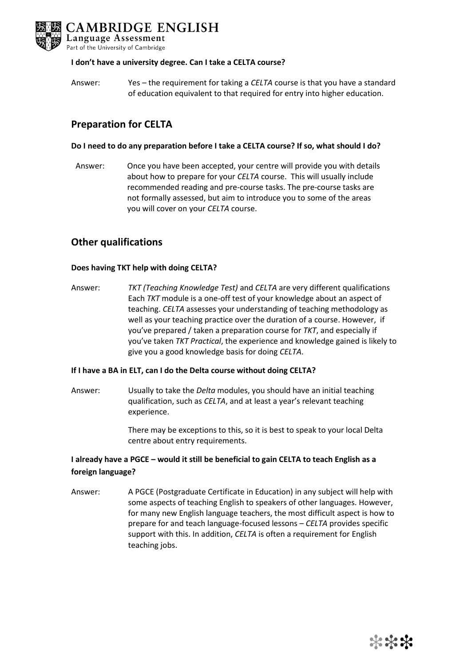

### **I don't have a university degree. Can I take a CELTA course?**

Answer: Yes – the requirement for taking a *CELTA* course is that you have a standard of education equivalent to that required for entry into higher education.

# **Preparation for CELTA**

### **Do I need to do any preparation before I take a CELTA course? If so, what should I do?**

Answer: Once you have been accepted, your centre will provide you with details about how to prepare for your *CELTA* course. This will usually include recommended reading and pre-course tasks. The pre-course tasks are not formally assessed, but aim to introduce you to some of the areas you will cover on your *CELTA* course.

# **Other qualifications**

### **Does having TKT help with doing CELTA?**

Answer: *TKT (Teaching Knowledge Test)* and *CELTA* are very different qualifications Each *TKT* module is a one-off test of your knowledge about an aspect of teaching. *CELTA* assesses your understanding of teaching methodology as well as your teaching practice over the duration of a course. However, if you've prepared / taken a preparation course for *TKT*, and especially if you've taken *TKT Practical*, the experience and knowledge gained is likely to give you a good knowledge basis for doing *CELTA*.

### **If I have a BA in ELT, can I do the Delta course without doing CELTA?**

Answer: Usually to take the *Delta* modules, you should have an initial teaching qualification, such as *CELTA*, and at least a year's relevant teaching experience.

> There may be exceptions to this, so it is best to speak to your local Delta centre about entry requirements.

### **I already have a PGCE – would it still be beneficial to gain CELTA to teach English as a foreign language?**

Answer: A PGCE (Postgraduate Certificate in Education) in any subject will help with some aspects of teaching English to speakers of other languages. However, for many new English language teachers, the most difficult aspect is how to prepare for and teach language-focused lessons – *CELTA* provides specific support with this. In addition, *CELTA* is often a requirement for English teaching jobs.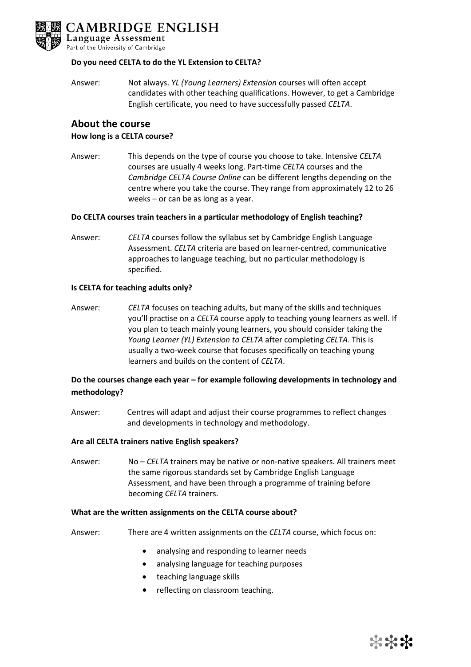

### **Do you need CELTA to do the YL Extension to CELTA?**

Answer: Not always. *YL (Young Learners) Extension* courses will often accept candidates with other teaching qualifications. However, to get a Cambridge English certificate, you need to have successfully passed *CELTA*.

### **About the course How long is a CELTA course?**

Answer: This depends on the type of course you choose to take. Intensive *CELTA* courses are usually 4 weeks long. Part-time *CELTA* courses and the *Cambridge CELTA Course Online* can be different lengths depending on the centre where you take the course. They range from approximately 12 to 26 weeks – or can be as long as a year.

### **Do CELTA courses train teachers in a particular methodology of English teaching?**

Answer: *CELTA* courses follow the syllabus set by Cambridge English Language Assessment. *CELTA* criteria are based on learner-centred, communicative approaches to language teaching, but no particular methodology is specified.

### **Is CELTA for teaching adults only?**

Answer: *CELTA* focuses on teaching adults, but many of the skills and techniques you'll practise on a *CELTA* course apply to teaching young learners as well. If you plan to teach mainly young learners, you should consider taking the *Young Learner (YL) Extension to CELTA* after completing *CELTA*. This is usually a two-week course that focuses specifically on teaching young learners and builds on the content of *CELTA*.

### **Do the courses change each year – for example following developments in technology and methodology?**

Answer: Centres will adapt and adjust their course programmes to reflect changes and developments in technology and methodology.

#### **Are all CELTA trainers native English speakers?**

Answer: No – *CELTA* trainers may be native or non-native speakers. All trainers meet the same rigorous standards set by Cambridge English Language Assessment, and have been through a programme of training before becoming *CELTA* trainers.

#### **What are the written assignments on the CELTA course about?**

- Answer: There are 4 written assignments on the *CELTA* course, which focus on:
	- analysing and responding to learner needs
	- analysing language for teaching purposes
	- teaching language skills
	- reflecting on classroom teaching.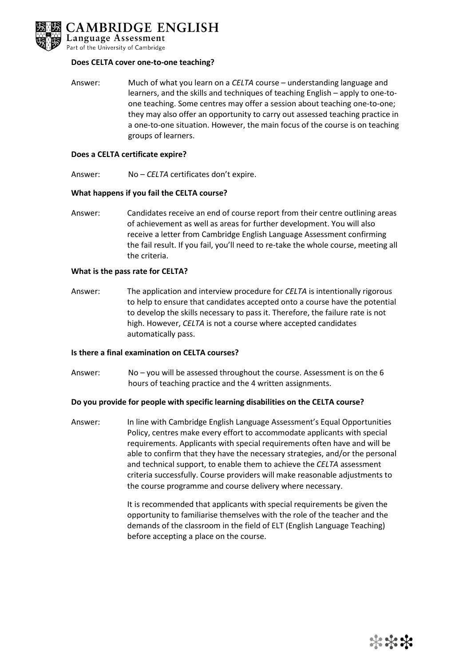

### **Does CELTA cover one-to-one teaching?**

Answer: Much of what you learn on a *CELTA* course – understanding language and learners, and the skills and techniques of teaching English – apply to one-toone teaching. Some centres may offer a session about teaching one-to-one; they may also offer an opportunity to carry out assessed teaching practice in a one-to-one situation. However, the main focus of the course is on teaching groups of learners.

#### **Does a CELTA certificate expire?**

Answer: No – *CELTA* certificates don't expire.

### **What happens if you fail the CELTA course?**

Answer: Candidates receive an end of course report from their centre outlining areas of achievement as well as areas for further development. You will also receive a letter from Cambridge English Language Assessment confirming the fail result. If you fail, you'll need to re-take the whole course, meeting all the criteria.

### **What is the pass rate for CELTA?**

Answer: The application and interview procedure for *CELTA* is intentionally rigorous to help to ensure that candidates accepted onto a course have the potential to develop the skills necessary to pass it. Therefore, the failure rate is not high. However, *CELTA* is not a course where accepted candidates automatically pass.

#### **Is there a final examination on CELTA courses?**

Answer: No – you will be assessed throughout the course. Assessment is on the 6 hours of teaching practice and the 4 written assignments.

### **Do you provide for people with specific learning disabilities on the CELTA course?**

Answer: In line with Cambridge English Language Assessment's Equal Opportunities Policy, centres make every effort to accommodate applicants with special requirements. Applicants with special requirements often have and will be able to confirm that they have the necessary strategies, and/or the personal and technical support, to enable them to achieve the *CELTA* assessment criteria successfully. Course providers will make reasonable adjustments to the course programme and course delivery where necessary.

> It is recommended that applicants with special requirements be given the opportunity to familiarise themselves with the role of the teacher and the demands of the classroom in the field of ELT (English Language Teaching) before accepting a place on the course.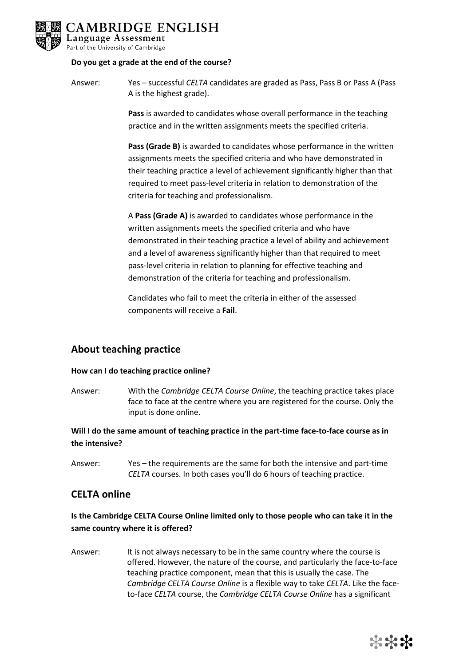

### **Do you get a grade at the end of the course?**

Answer: Yes – successful *CELTA* candidates are graded as Pass, Pass B or Pass A (Pass A is the highest grade).

> **Pass** is awarded to candidates whose overall performance in the teaching practice and in the written assignments meets the specified criteria.

**Pass (Grade B)** is awarded to candidates whose performance in the written assignments meets the specified criteria and who have demonstrated in their teaching practice a level of achievement significantly higher than that required to meet pass-level criteria in relation to demonstration of the criteria for teaching and professionalism.

A **Pass (Grade A)** is awarded to candidates whose performance in the written assignments meets the specified criteria and who have demonstrated in their teaching practice a level of ability and achievement and a level of awareness significantly higher than that required to meet pass-level criteria in relation to planning for effective teaching and demonstration of the criteria for teaching and professionalism.

Candidates who fail to meet the criteria in either of the assessed components will receive a **Fail**.

# **About teaching practice**

### **How can I do teaching practice online?**

Answer: With the *Cambridge CELTA Course Online*, the teaching practice takes place face to face at the centre where you are registered for the course. Only the input is done online.

**Will I do the same amount of teaching practice in the part-time face-to-face course as in the intensive?**

Answer: Yes – the requirements are the same for both the intensive and part-time *CELTA* courses. In both cases you'll do 6 hours of teaching practice.

### **CELTA online**

### **Is the Cambridge CELTA Course Online limited only to those people who can take it in the same country where it is offered?**

Answer: It is not always necessary to be in the same country where the course is offered. However, the nature of the course, and particularly the face-to-face teaching practice component, mean that this is usually the case. The *Cambridge CELTA Course Online* is a flexible way to take *CELTA*. Like the faceto-face *CELTA* course, the *Cambridge CELTA Course Online* has a significant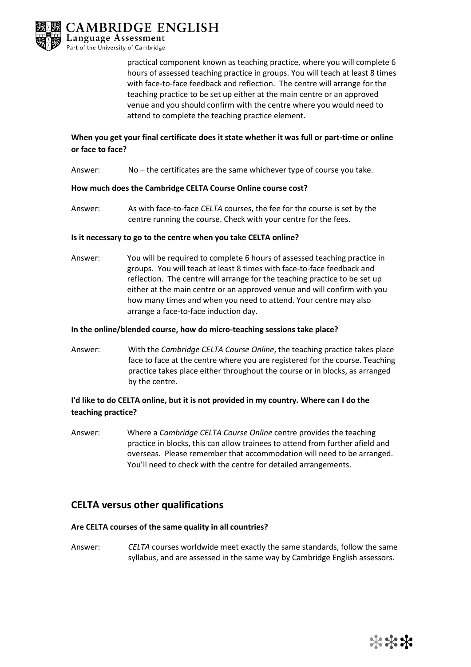

practical component known as teaching practice, where you will complete 6 hours of assessed teaching practice in groups. You will teach at least 8 times with face-to-face feedback and reflection. The centre will arrange for the teaching practice to be set up either at the main centre or an approved venue and you should confirm with the centre where you would need to attend to complete the teaching practice element.

# **When you get your final certificate does it state whether it was full or part-time or online or face to face?**

Answer: No – the certificates are the same whichever type of course you take.

### **How much does the Cambridge CELTA Course Online course cost?**

Answer: As with face-to-face *CELTA* courses, the fee for the course is set by the centre running the course. Check with your centre for the fees.

### **Is it necessary to go to the centre when you take CELTA online?**

Answer: You will be required to complete 6 hours of assessed teaching practice in groups. You will teach at least 8 times with face-to-face feedback and reflection. The centre will arrange for the teaching practice to be set up either at the main centre or an approved venue and will confirm with you how many times and when you need to attend. Your centre may also arrange a face-to-face induction day.

#### **In the online/blended course, how do micro-teaching sessions take place?**

Answer: With the *Cambridge CELTA Course Online*, the teaching practice takes place face to face at the centre where you are registered for the course. Teaching practice takes place either throughout the course or in blocks, as arranged by the centre.

### **I'd like to do CELTA online, but it is not provided in my country. Where can I do the teaching practice?**

Answer: Where a *Cambridge CELTA Course Online* centre provides the teaching practice in blocks, this can allow trainees to attend from further afield and overseas. Please remember that accommodation will need to be arranged. You'll need to check with the centre for detailed arrangements.

# **CELTA versus other qualifications**

### **Are CELTA courses of the same quality in all countries?**

Answer: *CELTA* courses worldwide meet exactly the same standards, follow the same syllabus, and are assessed in the same way by Cambridge English assessors.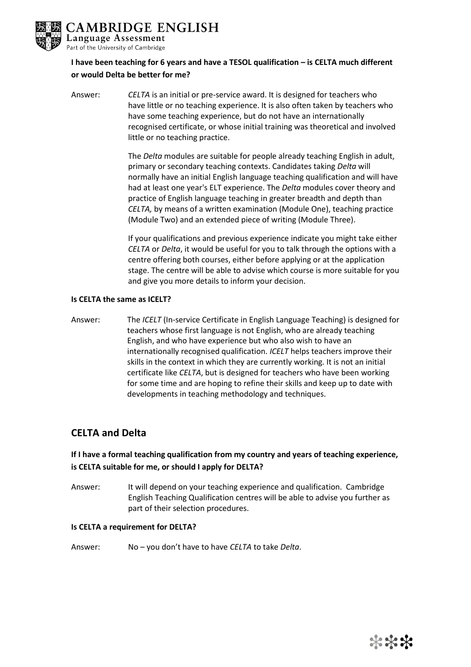

# **I have been teaching for 6 years and have a TESOL qualification – is CELTA much different or would Delta be better for me?**

Answer: *CELTA* is an initial or pre-service award. It is designed for teachers who have little or no teaching experience. It is also often taken by teachers who have some teaching experience, but do not have an internationally recognised certificate, or whose initial training was theoretical and involved little or no teaching practice.

> The *Delta* modules are suitable for people already teaching English in adult, primary or secondary teaching contexts. Candidates taking *Delta* will normally have an initial English language teaching qualification and will have had at least one year's ELT experience. The *Delta* modules cover theory and practice of English language teaching in greater breadth and depth than *CELTA,* by means of a written examination (Module One), teaching practice (Module Two) and an extended piece of writing (Module Three).

> If your qualifications and previous experience indicate you might take either *CELTA* or *Delta*, it would be useful for you to talk through the options with a centre offering both courses, either before applying or at the application stage. The centre will be able to advise which course is more suitable for you and give you more details to inform your decision.

### **Is CELTA the same as ICELT?**

Answer: The *ICELT* (In-service Certificate in English Language Teaching) is designed for teachers whose first language is not English, who are already teaching English, and who have experience but who also wish to have an internationally recognised qualification. *ICELT* helps teachers improve their skills in the context in which they are currently working. It is not an initial certificate like *CELTA*, but is designed for teachers who have been working for some time and are hoping to refine their skills and keep up to date with developments in teaching methodology and techniques.

# **CELTA and Delta**

# **If I have a formal teaching qualification from my country and years of teaching experience, is CELTA suitable for me, or should I apply for DELTA?**

Answer: It will depend on your teaching experience and qualification. Cambridge English Teaching Qualification centres will be able to advise you further as part of their selection procedures.

### **Is CELTA a requirement for DELTA?**

Answer: No – you don't have to have *CELTA* to take *Delta*.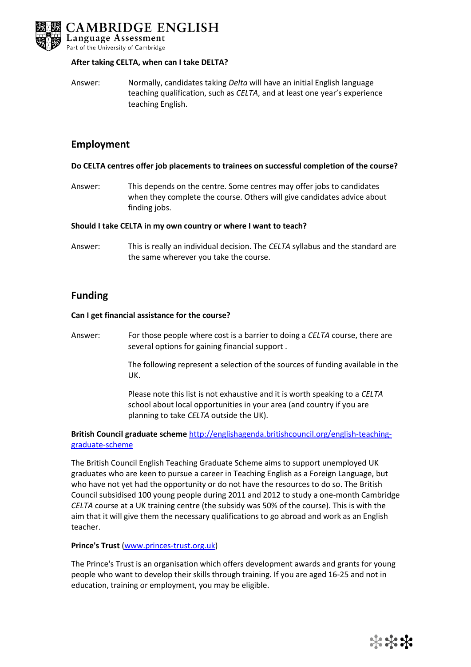

### **After taking CELTA, when can I take DELTA?**

Answer: Normally, candidates taking *Delta* will have an initial English language teaching qualification, such as *CELTA*, and at least one year's experience teaching English.

### **Employment**

### **Do CELTA centres offer job placements to trainees on successful completion of the course?**

Answer: This depends on the centre. Some centres may offer jobs to candidates when they complete the course. Others will give candidates advice about finding jobs.

#### **Should I take CELTA in my own country or where I want to teach?**

Answer: This is really an individual decision. The *CELTA* syllabus and the standard are the same wherever you take the course.

### **Funding**

### **Can I get financial assistance for the course?**

Answer: For those people where cost is a barrier to doing a *CELTA* course, there are several options for gaining financial support .

> The following represent a selection of the sources of funding available in the UK.

Please note this list is not exhaustive and it is worth speaking to a *CELTA* school about local opportunities in your area (and country if you are planning to take *CELTA* outside the UK).

### **British Council graduate scheme** [http://englishagenda.britishcouncil.org/english-teaching](http://englishagenda.britishcouncil.org/english-teaching-graduate-scheme)[graduate-scheme](http://englishagenda.britishcouncil.org/english-teaching-graduate-scheme)

The British Council English Teaching Graduate Scheme aims to support unemployed UK graduates who are keen to pursue a career in Teaching English as a Foreign Language, but who have not yet had the opportunity or do not have the resources to do so. The British Council subsidised 100 young people during 2011 and 2012 to study a one-month Cambridge *CELTA* course at a UK training centre (the subsidy was 50% of the course). This is with the aim that it will give them the necessary qualifications to go abroad and work as an English teacher.

### **Prince's Trust** [\(www.princes-trust.org.uk\)](http://www.princes-trust.org.uk/)

The Prince's Trust is an organisation which offers development awards and grants for young people who want to develop their skills through training. If you are aged 16-25 and not in education, training or employment, you may be eligible.